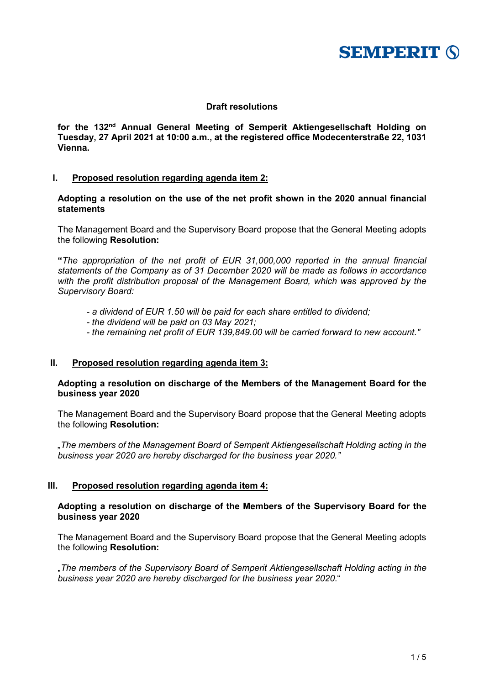

# **Draft resolutions**

**for the 132nd Annual General Meeting of Semperit Aktiengesellschaft Holding on Tuesday, 27 April 2021 at 10:00 a.m., at the registered office Modecenterstraße 22, 1031 Vienna.**

# **I. Proposed resolution regarding agenda item 2:**

**Adopting a resolution on the use of the net profit shown in the 2020 annual financial statements**

The Management Board and the Supervisory Board propose that the General Meeting adopts the following **Resolution:**

**"***The appropriation of the net profit of EUR 31,000,000 reported in the annual financial statements of the Company as of 31 December 2020 will be made as follows in accordance with the profit distribution proposal of the Management Board, which was approved by the Supervisory Board:*

- *- a dividend of EUR 1.50 will be paid for each share entitled to dividend;*
- *- the dividend will be paid on 03 May 2021;*
- *- the remaining net profit of EUR 139,849.00 will be carried forward to new account."*

### **II. Proposed resolution regarding agenda item 3:**

# **Adopting a resolution on discharge of the Members of the Management Board for the business year 2020**

The Management Board and the Supervisory Board propose that the General Meeting adopts the following **Resolution:**

*"The members of the Management Board of Semperit Aktiengesellschaft Holding acting in the business year 2020 are hereby discharged for the business year 2020."*

# **III. Proposed resolution regarding agenda item 4:**

# **Adopting a resolution on discharge of the Members of the Supervisory Board for the business year 2020**

The Management Board and the Supervisory Board propose that the General Meeting adopts the following **Resolution:**

"*The members of the Supervisory Board of Semperit Aktiengesellschaft Holding acting in the business year 2020 are hereby discharged for the business year 2020*."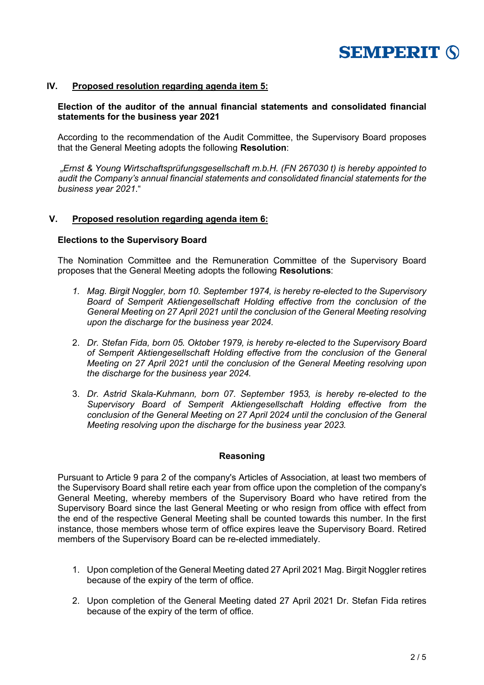

# **IV. Proposed resolution regarding agenda item 5:**

# **Election of the auditor of the annual financial statements and consolidated financial statements for the business year 2021**

According to the recommendation of the Audit Committee, the Supervisory Board proposes that the General Meeting adopts the following **Resolution**:

*"Ernst & Young Wirtschaftsprüfungsgesellschaft m.b.H. (FN 267030 t) is hereby appointed to audit the Company's annual financial statements and consolidated financial statements for the business year 2021*."

### **V. Proposed resolution regarding agenda item 6:**

### **Elections to the Supervisory Board**

The Nomination Committee and the Remuneration Committee of the Supervisory Board proposes that the General Meeting adopts the following **Resolutions**:

- *1. Mag. Birgit Noggler, born 10. September 1974, is hereby re-elected to the Supervisory Board of Semperit Aktiengesellschaft Holding effective from the conclusion of the General Meeting on 27 April 2021 until the conclusion of the General Meeting resolving upon the discharge for the business year 2024.*
- 2. *Dr. Stefan Fida, born 05. Oktober 1979, is hereby re-elected to the Supervisory Board of Semperit Aktiengesellschaft Holding effective from the conclusion of the General Meeting on 27 April 2021 until the conclusion of the General Meeting resolving upon the discharge for the business year 2024.*
- 3. *Dr. Astrid Skala-Kuhmann, born 07. September 1953, is hereby re-elected to the Supervisory Board of Semperit Aktiengesellschaft Holding effective from the conclusion of the General Meeting on 27 April 2024 until the conclusion of the General Meeting resolving upon the discharge for the business year 2023.*

### **Reasoning**

Pursuant to Article 9 para 2 of the company's Articles of Association, at least two members of the Supervisory Board shall retire each year from office upon the completion of the company's General Meeting, whereby members of the Supervisory Board who have retired from the Supervisory Board since the last General Meeting or who resign from office with effect from the end of the respective General Meeting shall be counted towards this number. In the first instance, those members whose term of office expires leave the Supervisory Board. Retired members of the Supervisory Board can be re-elected immediately.

- 1. Upon completion of the General Meeting dated 27 April 2021 Mag. Birgit Noggler retires because of the expiry of the term of office.
- 2. Upon completion of the General Meeting dated 27 April 2021 Dr. Stefan Fida retires because of the expiry of the term of office.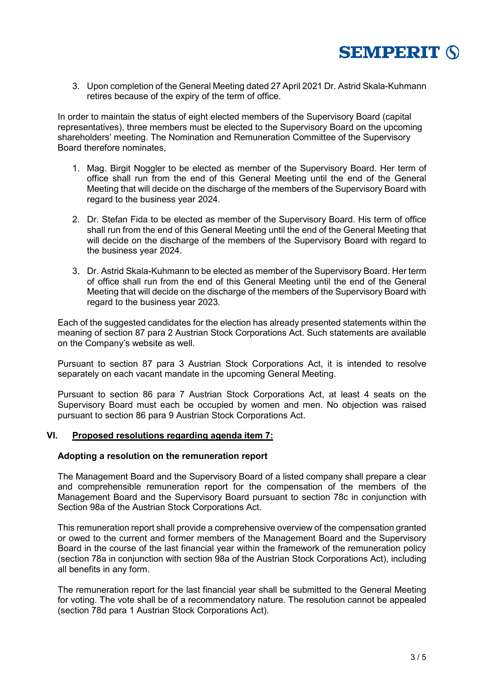

3. Upon completion of the General Meeting dated 27 April 2021 Dr. Astrid Skala-Kuhmann retires because of the expiry of the term of office.

In order to maintain the status of eight elected members of the Supervisory Board (capital representatives), three members must be elected to the Supervisory Board on the upcoming shareholders' meeting. The Nomination and Remuneration Committee of the Supervisory Board therefore nominates,

- 1. Mag. Birgit Noggler to be elected as member of the Supervisory Board. Her term of office shall run from the end of this General Meeting until the end of the General Meeting that will decide on the discharge of the members of the Supervisory Board with regard to the business year 2024.
- 2. Dr. Stefan Fida to be elected as member of the Supervisory Board. His term of office shall run from the end of this General Meeting until the end of the General Meeting that will decide on the discharge of the members of the Supervisory Board with regard to the business year 2024.
- 3. Dr. Astrid Skala-Kuhmann to be elected as member of the Supervisory Board. Her term of office shall run from the end of this General Meeting until the end of the General Meeting that will decide on the discharge of the members of the Supervisory Board with regard to the business year 2023.

Each of the suggested candidates for the election has already presented statements within the meaning of section 87 para 2 Austrian Stock Corporations Act. Such statements are available on the Company's website as well.

Pursuant to section 87 para 3 Austrian Stock Corporations Act, it is intended to resolve separately on each vacant mandate in the upcoming General Meeting.

Pursuant to section 86 para 7 Austrian Stock Corporations Act, at least 4 seats on the Supervisory Board must each be occupied by women and men. No objection was raised pursuant to section 86 para 9 Austrian Stock Corporations Act.

# **VI. Proposed resolutions regarding agenda item 7:**

### **Adopting a resolution on the remuneration report**

The Management Board and the Supervisory Board of a listed company shall prepare a clear and comprehensible remuneration report for the compensation of the members of the Management Board and the Supervisory Board pursuant to section 78c in conjunction with Section 98a of the Austrian Stock Corporations Act.

This remuneration report shall provide a comprehensive overview of the compensation granted or owed to the current and former members of the Management Board and the Supervisory Board in the course of the last financial year within the framework of the remuneration policy (section 78a in conjunction with section 98a of the Austrian Stock Corporations Act), including all benefits in any form.

The remuneration report for the last financial year shall be submitted to the General Meeting for voting. The vote shall be of a recommendatory nature. The resolution cannot be appealed (section 78d para 1 Austrian Stock Corporations Act).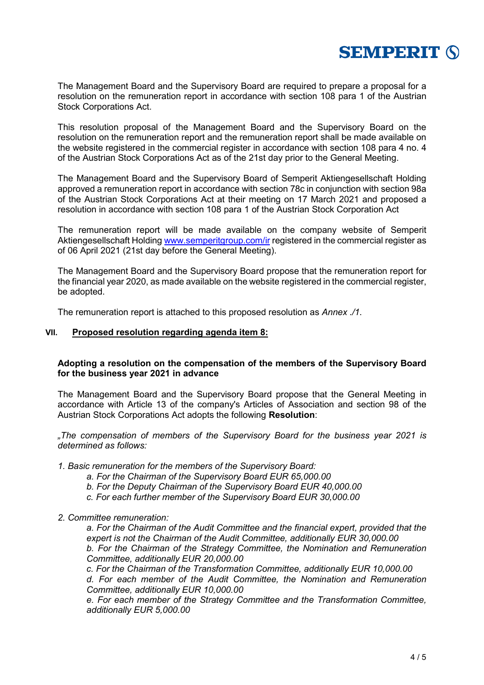

The Management Board and the Supervisory Board are required to prepare a proposal for a resolution on the remuneration report in accordance with section 108 para 1 of the Austrian Stock Corporations Act.

This resolution proposal of the Management Board and the Supervisory Board on the resolution on the remuneration report and the remuneration report shall be made available on the website registered in the commercial register in accordance with section 108 para 4 no. 4 of the Austrian Stock Corporations Act as of the 21st day prior to the General Meeting.

The Management Board and the Supervisory Board of Semperit Aktiengesellschaft Holding approved a remuneration report in accordance with section 78c in conjunction with section 98a of the Austrian Stock Corporations Act at their meeting on 17 March 2021 and proposed a resolution in accordance with section 108 para 1 of the Austrian Stock Corporation Act

The remuneration report will be made available on the company website of Semperit Aktiengesellschaft Holding [www.semperitgroup.com/](http://www.semperitgroup.com/)ir registered in the commercial register as of 06 April 2021 (21st day before the General Meeting).

The Management Board and the Supervisory Board propose that the remuneration report for the financial year 2020, as made available on the website registered in the commercial register, be adopted.

The remuneration report is attached to this proposed resolution as *Annex ./1*.

#### **VII. Proposed resolution regarding agenda item 8:**

# **Adopting a resolution on the compensation of the members of the Supervisory Board for the business year 2021 in advance**

The Management Board and the Supervisory Board propose that the General Meeting in accordance with Article 13 of the company's Articles of Association and section 98 of the Austrian Stock Corporations Act adopts the following **Resolution**:

*"The compensation of members of the Supervisory Board for the business year 2021 is determined as follows:*

- *1. Basic remuneration for the members of the Supervisory Board:*
	- *a. For the Chairman of the Supervisory Board EUR 65,000.00*
	- *b. For the Deputy Chairman of the Supervisory Board EUR 40,000.00*
	- *c. For each further member of the Supervisory Board EUR 30,000.00*
- *2. Committee remuneration:*

*a. For the Chairman of the Audit Committee and the financial expert, provided that the expert is not the Chairman of the Audit Committee, additionally EUR 30,000.00 b. For the Chairman of the Strategy Committee, the Nomination and Remuneration Committee, additionally EUR 20,000.00*

*c. For the Chairman of the Transformation Committee, additionally EUR 10,000.00*

*d. For each member of the Audit Committee, the Nomination and Remuneration Committee, additionally EUR 10,000.00*

*e. For each member of the Strategy Committee and the Transformation Committee, additionally EUR 5,000.00*